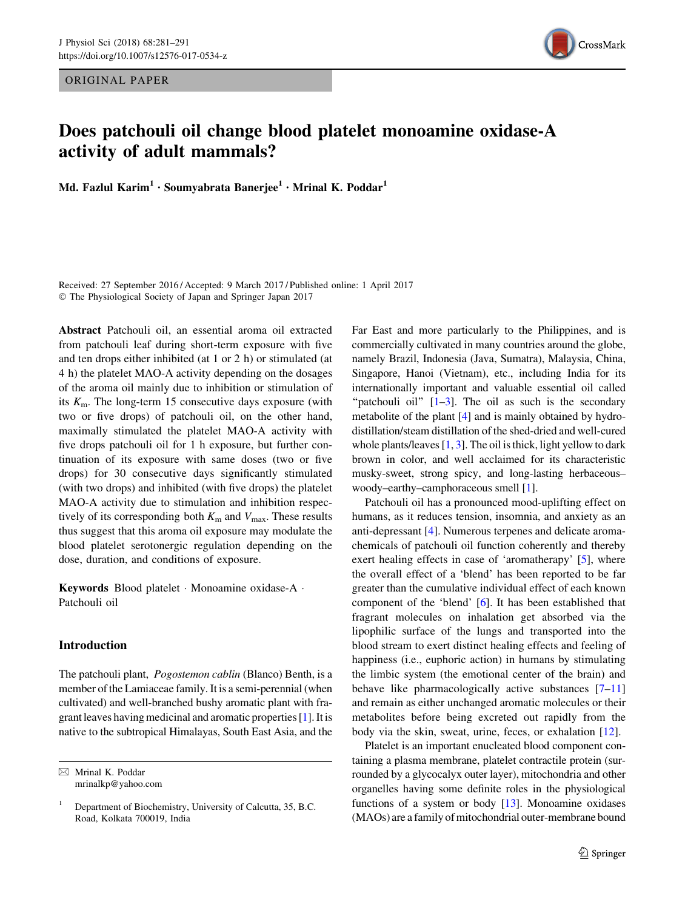ORIGINAL PAPER



# Does patchouli oil change blood platelet monoamine oxidase-A activity of adult mammals?

Md. Fazlul Karim $^1\cdot$  Soumyabrata Banerjee $^1\cdot$  Mrinal K. Poddar $^1$ 

Received: 27 September 2016 / Accepted: 9 March 2017 / Published online: 1 April 2017  $©$  The Physiological Society of Japan and Springer Japan 2017

Abstract Patchouli oil, an essential aroma oil extracted from patchouli leaf during short-term exposure with five and ten drops either inhibited (at 1 or 2 h) or stimulated (at 4 h) the platelet MAO-A activity depending on the dosages of the aroma oil mainly due to inhibition or stimulation of its  $K<sub>m</sub>$ . The long-term 15 consecutive days exposure (with two or five drops) of patchouli oil, on the other hand, maximally stimulated the platelet MAO-A activity with five drops patchouli oil for 1 h exposure, but further continuation of its exposure with same doses (two or five drops) for 30 consecutive days significantly stimulated (with two drops) and inhibited (with five drops) the platelet MAO-A activity due to stimulation and inhibition respectively of its corresponding both  $K<sub>m</sub>$  and  $V<sub>max</sub>$ . These results thus suggest that this aroma oil exposure may modulate the blood platelet serotonergic regulation depending on the dose, duration, and conditions of exposure.

Keywords Blood platelet - Monoamine oxidase-A - Patchouli oil

## Introduction

The patchouli plant, Pogostemon cablin (Blanco) Benth, is a member of the Lamiaceae family. It is a semi-perennial (when cultivated) and well-branched bushy aromatic plant with fragrant leaves having medicinal and aromatic properties [\[1\]](#page-9-0). It is native to the subtropical Himalayas, South East Asia, and the

 $\boxtimes$  Mrinal K. Poddar mrinalkp@yahoo.com Far East and more particularly to the Philippines, and is commercially cultivated in many countries around the globe, namely Brazil, Indonesia (Java, Sumatra), Malaysia, China, Singapore, Hanoi (Vietnam), etc., including India for its internationally important and valuable essential oil called "patchouli oil"  $[1-3]$ . The oil as such is the secondary metabolite of the plant [[4\]](#page-9-0) and is mainly obtained by hydrodistillation/steam distillation of the shed-dried and well-cured whole plants/leaves  $[1, 3]$  $[1, 3]$  $[1, 3]$  $[1, 3]$ . The oil is thick, light yellow to dark brown in color, and well acclaimed for its characteristic musky-sweet, strong spicy, and long-lasting herbaceous– woody–earthy–camphoraceous smell [\[1](#page-9-0)].

Patchouli oil has a pronounced mood-uplifting effect on humans, as it reduces tension, insomnia, and anxiety as an anti-depressant [\[4](#page-9-0)]. Numerous terpenes and delicate aromachemicals of patchouli oil function coherently and thereby exert healing effects in case of 'aromatherapy' [\[5](#page-9-0)], where the overall effect of a 'blend' has been reported to be far greater than the cumulative individual effect of each known component of the 'blend' [[6\]](#page-9-0). It has been established that fragrant molecules on inhalation get absorbed via the lipophilic surface of the lungs and transported into the blood stream to exert distinct healing effects and feeling of happiness (i.e., euphoric action) in humans by stimulating the limbic system (the emotional center of the brain) and behave like pharmacologically active substances [[7–11\]](#page-9-0) and remain as either unchanged aromatic molecules or their metabolites before being excreted out rapidly from the body via the skin, sweat, urine, feces, or exhalation [[12\]](#page-9-0).

Platelet is an important enucleated blood component containing a plasma membrane, platelet contractile protein (surrounded by a glycocalyx outer layer), mitochondria and other organelles having some definite roles in the physiological functions of a system or body [\[13\]](#page-9-0). Monoamine oxidases (MAOs) are a family of mitochondrial outer-membrane bound

<sup>1</sup> Department of Biochemistry, University of Calcutta, 35, B.C. Road, Kolkata 700019, India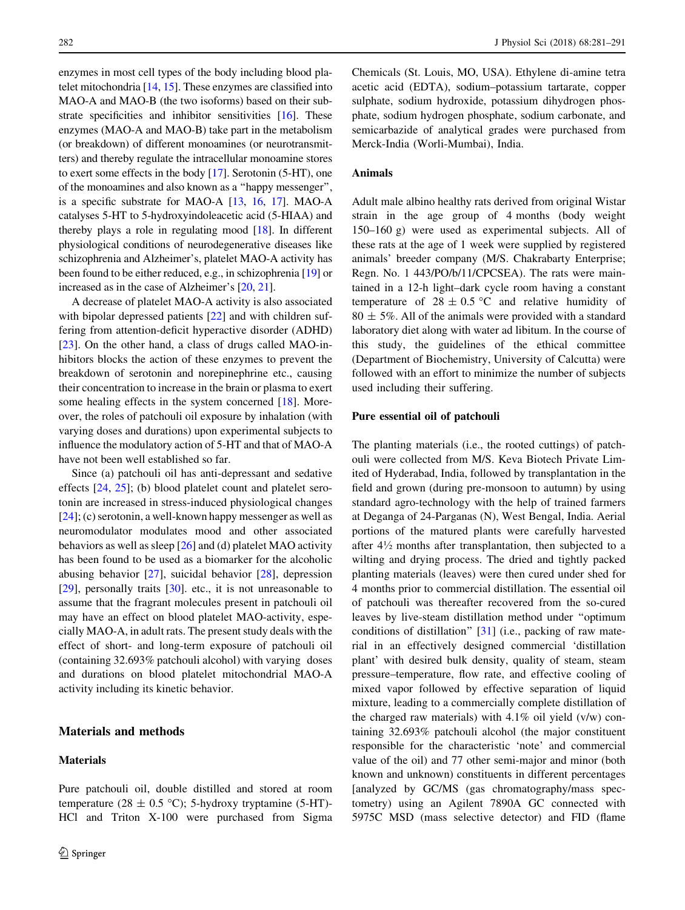<span id="page-1-0"></span>enzymes in most cell types of the body including blood platelet mitochondria [[14](#page-9-0), [15\]](#page-9-0). These enzymes are classified into MAO-A and MAO-B (the two isoforms) based on their sub-strate specificities and inhibitor sensitivities [\[16](#page-9-0)]. These enzymes (MAO-A and MAO-B) take part in the metabolism (or breakdown) of different monoamines (or neurotransmitters) and thereby regulate the intracellular monoamine stores to exert some effects in the body [\[17\]](#page-9-0). Serotonin (5-HT), one of the monoamines and also known as a ''happy messenger'', is a specific substrate for MAO-A [\[13,](#page-9-0) [16,](#page-9-0) [17\]](#page-9-0). MAO-A catalyses 5-HT to 5-hydroxyindoleacetic acid (5-HIAA) and thereby plays a role in regulating mood [\[18](#page-9-0)]. In different physiological conditions of neurodegenerative diseases like schizophrenia and Alzheimer's, platelet MAO-A activity has been found to be either reduced, e.g., in schizophrenia [[19\]](#page-9-0) or increased as in the case of Alzheimer's [[20,](#page-9-0) [21](#page-9-0)].

A decrease of platelet MAO-A activity is also associated with bipolar depressed patients [\[22](#page-9-0)] and with children suffering from attention-deficit hyperactive disorder (ADHD) [\[23](#page-9-0)]. On the other hand, a class of drugs called MAO-inhibitors blocks the action of these enzymes to prevent the breakdown of serotonin and norepinephrine etc., causing their concentration to increase in the brain or plasma to exert some healing effects in the system concerned [[18\]](#page-9-0). Moreover, the roles of patchouli oil exposure by inhalation (with varying doses and durations) upon experimental subjects to influence the modulatory action of 5-HT and that of MAO-A have not been well established so far.

Since (a) patchouli oil has anti-depressant and sedative effects [\[24](#page-9-0), [25\]](#page-9-0); (b) blood platelet count and platelet serotonin are increased in stress-induced physiological changes  $[24]$  $[24]$ ; (c) serotonin, a well-known happy messenger as well as neuromodulator modulates mood and other associated behaviors as well as sleep [\[26](#page-9-0)] and (d) platelet MAO activity has been found to be used as a biomarker for the alcoholic abusing behavior [[27\]](#page-10-0), suicidal behavior [\[28](#page-10-0)], depression [\[29](#page-10-0)], personally traits [\[30](#page-10-0)]. etc., it is not unreasonable to assume that the fragrant molecules present in patchouli oil may have an effect on blood platelet MAO-activity, especially MAO-A, in adult rats. The present study deals with the effect of short- and long-term exposure of patchouli oil (containing 32.693% patchouli alcohol) with varying doses and durations on blood platelet mitochondrial MAO-A activity including its kinetic behavior.

## Materials and methods

#### Materials

Pure patchouli oil, double distilled and stored at room temperature (28  $\pm$  0.5 °C); 5-hydroxy tryptamine (5-HT)-HCl and Triton X-100 were purchased from Sigma Chemicals (St. Louis, MO, USA). Ethylene di-amine tetra acetic acid (EDTA), sodium–potassium tartarate, copper sulphate, sodium hydroxide, potassium dihydrogen phosphate, sodium hydrogen phosphate, sodium carbonate, and semicarbazide of analytical grades were purchased from Merck-India (Worli-Mumbai), India.

## Animals

Adult male albino healthy rats derived from original Wistar strain in the age group of 4 months (body weight 150–160 g) were used as experimental subjects. All of these rats at the age of 1 week were supplied by registered animals' breeder company (M/S. Chakrabarty Enterprise; Regn. No. 1 443/PO/b/11/CPCSEA). The rats were maintained in a 12-h light–dark cycle room having a constant temperature of  $28 \pm 0.5$  °C and relative humidity of  $80 \pm 5\%$ . All of the animals were provided with a standard laboratory diet along with water ad libitum. In the course of this study, the guidelines of the ethical committee (Department of Biochemistry, University of Calcutta) were followed with an effort to minimize the number of subjects used including their suffering.

#### Pure essential oil of patchouli

The planting materials (i.e., the rooted cuttings) of patchouli were collected from M/S. Keva Biotech Private Limited of Hyderabad, India, followed by transplantation in the field and grown (during pre-monsoon to autumn) by using standard agro-technology with the help of trained farmers at Deganga of 24-Parganas (N), West Bengal, India. Aerial portions of the matured plants were carefully harvested after  $4\frac{1}{2}$  months after transplantation, then subjected to a wilting and drying process. The dried and tightly packed planting materials (leaves) were then cured under shed for 4 months prior to commercial distillation. The essential oil of patchouli was thereafter recovered from the so-cured leaves by live-steam distillation method under ''optimum conditions of distillation'' [\[31](#page-10-0)] (i.e., packing of raw material in an effectively designed commercial 'distillation plant' with desired bulk density, quality of steam, steam pressure–temperature, flow rate, and effective cooling of mixed vapor followed by effective separation of liquid mixture, leading to a commercially complete distillation of the charged raw materials) with 4.1% oil yield (v/w) containing 32.693% patchouli alcohol (the major constituent responsible for the characteristic 'note' and commercial value of the oil) and 77 other semi-major and minor (both known and unknown) constituents in different percentages [analyzed by GC/MS (gas chromatography/mass spectometry) using an Agilent 7890A GC connected with 5975C MSD (mass selective detector) and FID (flame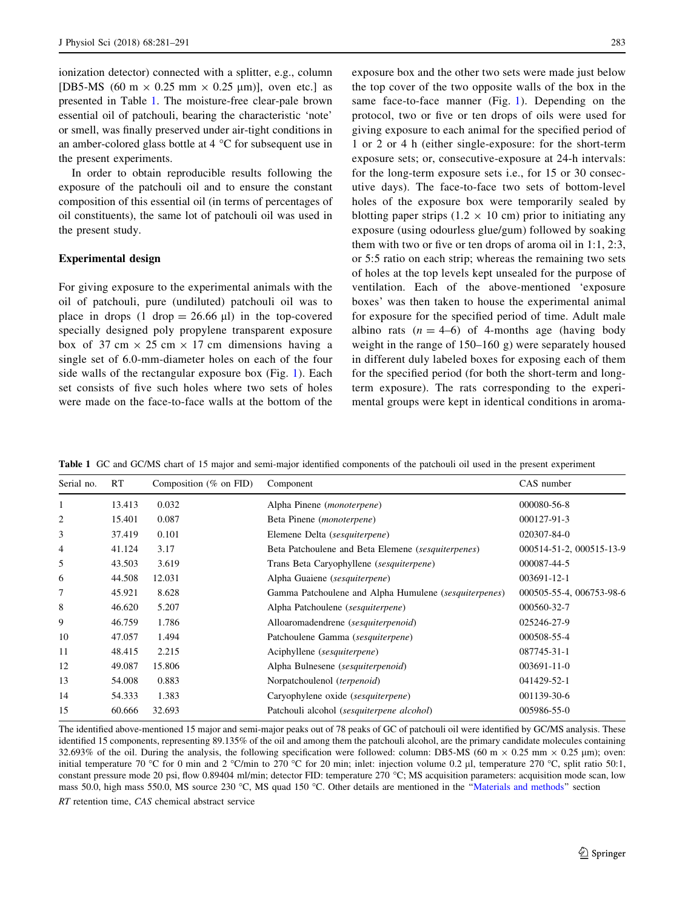<span id="page-2-0"></span>ionization detector) connected with a splitter, e.g., column [DB5-MS (60 m  $\times$  0.25 mm  $\times$  0.25 µm)], oven etc.] as presented in Table 1. The moisture-free clear-pale brown essential oil of patchouli, bearing the characteristic 'note' or smell, was finally preserved under air-tight conditions in an amber-colored glass bottle at  $4^{\circ}$ C for subsequent use in the present experiments.

In order to obtain reproducible results following the exposure of the patchouli oil and to ensure the constant composition of this essential oil (in terms of percentages of oil constituents), the same lot of patchouli oil was used in the present study.

#### Experimental design

For giving exposure to the experimental animals with the oil of patchouli, pure (undiluted) patchouli oil was to place in drops (1 drop =  $26.66 \text{ }\mu\text{}$ ) in the top-covered specially designed poly propylene transparent exposure box of 37 cm  $\times$  25 cm  $\times$  17 cm dimensions having a single set of 6.0-mm-diameter holes on each of the four side walls of the rectangular exposure box (Fig. [1](#page-3-0)). Each set consists of five such holes where two sets of holes were made on the face-to-face walls at the bottom of the exposure box and the other two sets were made just below the top cover of the two opposite walls of the box in the same face-to-face manner (Fig. [1\)](#page-3-0). Depending on the protocol, two or five or ten drops of oils were used for giving exposure to each animal for the specified period of 1 or 2 or 4 h (either single-exposure: for the short-term exposure sets; or, consecutive-exposure at 24-h intervals: for the long-term exposure sets i.e., for 15 or 30 consecutive days). The face-to-face two sets of bottom-level holes of the exposure box were temporarily sealed by blotting paper strips (1.2  $\times$  10 cm) prior to initiating any exposure (using odourless glue/gum) followed by soaking them with two or five or ten drops of aroma oil in 1:1, 2:3, or 5:5 ratio on each strip; whereas the remaining two sets of holes at the top levels kept unsealed for the purpose of ventilation. Each of the above-mentioned 'exposure boxes' was then taken to house the experimental animal for exposure for the specified period of time. Adult male albino rats  $(n = 4-6)$  of 4-months age (having body weight in the range of 150–160 g) were separately housed in different duly labeled boxes for exposing each of them for the specified period (for both the short-term and longterm exposure). The rats corresponding to the experimental groups were kept in identical conditions in aroma-

Table 1 GC and GC/MS chart of 15 major and semi-major identified components of the patchouli oil used in the present experiment

| Serial no. | RT     | Composition (% on FID) | Component                                             | CAS number               |
|------------|--------|------------------------|-------------------------------------------------------|--------------------------|
| 1          | 13.413 | 0.032                  | Alpha Pinene ( <i>monoterpene</i> )                   | 000080-56-8              |
| 2          | 15.401 | 0.087                  | Beta Pinene ( <i>monoterpene</i> )                    | 000127-91-3              |
| 3          | 37.419 | 0.101                  | Elemene Delta (sesquiterpene)                         | 020307-84-0              |
| 4          | 41.124 | 3.17                   | Beta Patchoulene and Beta Elemene (sesquiterpenes)    | 000514-51-2, 000515-13-9 |
| 5          | 43.503 | 3.619                  | Trans Beta Caryophyllene (sesquiterpene)              | 000087-44-5              |
| 6          | 44.508 | 12.031                 | Alpha Guaiene (sesquiterpene)                         | 003691-12-1              |
| 7          | 45.921 | 8.628                  | Gamma Patchoulene and Alpha Humulene (sesquiterpenes) | 000505-55-4, 006753-98-6 |
| 8          | 46.620 | 5.207                  | Alpha Patchoulene (sesquiterpene)                     | 000560-32-7              |
| 9          | 46.759 | 1.786                  | Alloaromadendrene (sesquiterpenoid)                   | 025246-27-9              |
| 10         | 47.057 | 1.494                  | Patchoulene Gamma (sesquiterpene)                     | 000508-55-4              |
| 11         | 48.415 | 2.215                  | Aciphyllene (sesquiterpene)                           | 087745-31-1              |
| 12         | 49.087 | 15.806                 | Alpha Bulnesene (sesquiterpenoid)                     | $003691 - 11 - 0$        |
| 13         | 54.008 | 0.883                  | Norpatchoulenol (terpenoid)                           | 041429-52-1              |
| 14         | 54.333 | 1.383                  | Caryophylene oxide (sesquiterpene)                    | 001139-30-6              |
| 15         | 60.666 | 32.693                 | Patchouli alcohol (sesquiterpene alcohol)             | 005986-55-0              |

The identified above-mentioned 15 major and semi-major peaks out of 78 peaks of GC of patchouli oil were identified by GC/MS analysis. These identified 15 components, representing 89.135% of the oil and among them the patchouli alcohol, are the primary candidate molecules containing 32.693% of the oil. During the analysis, the following specification were followed: column: DB5-MS (60 m  $\times$  0.25 mm  $\times$  0.25 µm); oven: initial temperature 70 °C for 0 min and 2 °C/min to 270 °C for 20 min; inlet: injection volume 0.2 µl, temperature 270 °C, split ratio 50:1, constant pressure mode 20 psi, flow 0.89404 ml/min; detector FID: temperature 270  $^{\circ}$ C; MS acquisition parameters: acquisition mode scan, low mass 50.0, high mass 550.0, MS source 230 °C, MS quad 150 °C. Other details are mentioned in the "Materials and methods" section RT retention time, CAS chemical abstract service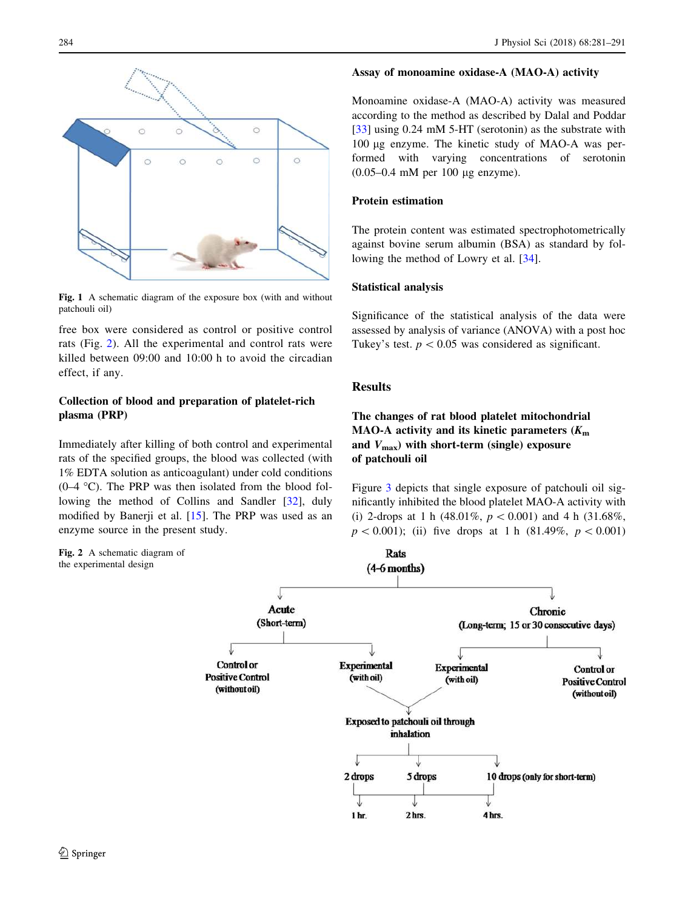<span id="page-3-0"></span>

Fig. 1 A schematic diagram of the exposure box (with and without patchouli oil)

free box were considered as control or positive control rats (Fig. 2). All the experimental and control rats were killed between 09:00 and 10:00 h to avoid the circadian effect, if any.

# Collection of blood and preparation of platelet-rich plasma (PRP)

Immediately after killing of both control and experimental rats of the specified groups, the blood was collected (with 1% EDTA solution as anticoagulant) under cold conditions  $(0-4 \degree C)$ . The PRP was then isolated from the blood following the method of Collins and Sandler [\[32](#page-10-0)], duly modified by Banerji et al. [[15\]](#page-9-0). The PRP was used as an enzyme source in the present study.

Fig. 2 A schematic diagram of the experimental design

#### Assay of monoamine oxidase-A (MAO-A) activity

Monoamine oxidase-A (MAO-A) activity was measured according to the method as described by Dalal and Poddar [\[33](#page-10-0)] using 0.24 mM 5-HT (serotonin) as the substrate with 100 lg enzyme. The kinetic study of MAO-A was performed with varying concentrations of serotonin  $(0.05-0.4 \text{ mM per } 100 \text{ µg enzyme}).$ 

#### Protein estimation

The protein content was estimated spectrophotometrically against bovine serum albumin (BSA) as standard by following the method of Lowry et al. [[34\]](#page-10-0).

#### Statistical analysis

Significance of the statistical analysis of the data were assessed by analysis of variance (ANOVA) with a post hoc Tukey's test.  $p < 0.05$  was considered as significant.

## Results

The changes of rat blood platelet mitochondrial MAO-A activity and its kinetic parameters  $(K<sub>m</sub>)$ and  $V_{\text{max}}$ ) with short-term (single) exposure of patchouli oil

Figure [3](#page-4-0) depicts that single exposure of patchouli oil significantly inhibited the blood platelet MAO-A activity with (i) 2-drops at 1 h (48.01%,  $p < 0.001$ ) and 4 h (31.68%,  $p\leq0.001$ ; (ii) five drops at 1 h (81.49%,  $p\leq0.001$ )

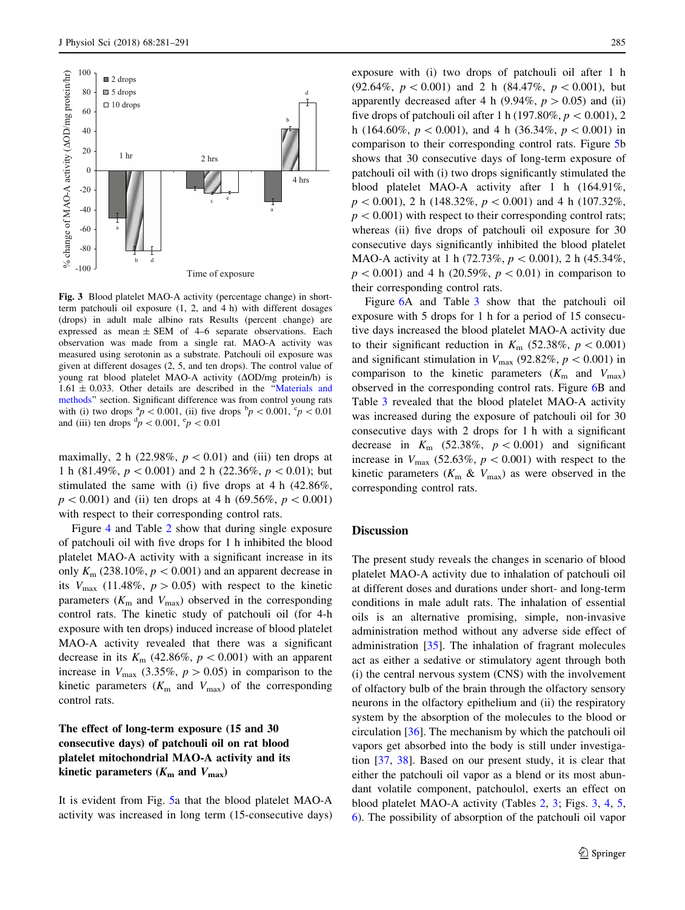<span id="page-4-0"></span>

Fig. 3 Blood platelet MAO-A activity (percentage change) in shortterm patchouli oil exposure (1, 2, and 4 h) with different dosages (drops) in adult male albino rats Results (percent change) are expressed as mean  $\pm$  SEM of 4–6 separate observations. Each observation was made from a single rat. MAO-A activity was measured using serotonin as a substrate. Patchouli oil exposure was given at different dosages (2, 5, and ten drops). The control value of young rat blood platelet MAO-A activity  $(\Delta OD/mg)$  protein/h) is  $1.61 \pm 0.033$ . Other details are described in the "[Materials and](#page-1-0) [methods'](#page-1-0)' section. Significant difference was from control young rats with (i) two drops  $\frac{p}{p}$  < 0.001, (ii) five drops  $\frac{p}{p}$  < 0.001,  $\frac{c}{p}$  < 0.01 and (iii) ten drops  $\frac{d}{p}$  < 0.001,  $\frac{e}{p}$  < 0.01

maximally, 2 h (22.98%,  $p < 0.01$ ) and (iii) ten drops at 1 h (81.49%,  $p < 0.001$ ) and 2 h (22.36%,  $p < 0.01$ ); but stimulated the same with (i) five drops at 4 h (42.86%,  $p\leq0.001$ ) and (ii) ten drops at 4 h (69.56%,  $p\leq0.001$ ) with respect to their corresponding control rats.

Figure [4](#page-5-0) and Table [2](#page-5-0) show that during single exposure of patchouli oil with five drops for 1 h inhibited the blood platelet MAO-A activity with a significant increase in its only  $K_m$  (238.10%,  $p < 0.001$ ) and an apparent decrease in its  $V_{\text{max}}$  (11.48%,  $p > 0.05$ ) with respect to the kinetic parameters ( $K<sub>m</sub>$  and  $V<sub>max</sub>$ ) observed in the corresponding control rats. The kinetic study of patchouli oil (for 4-h exposure with ten drops) induced increase of blood platelet MAO-A activity revealed that there was a significant decrease in its  $K_m$  (42.86%,  $p < 0.001$ ) with an apparent increase in  $V_{\text{max}}$  (3.35%,  $p > 0.05$ ) in comparison to the kinetic parameters  $(K<sub>m</sub>$  and  $V<sub>max</sub>)$  of the corresponding control rats.

# The effect of long-term exposure (15 and 30 consecutive days) of patchouli oil on rat blood platelet mitochondrial MAO-A activity and its kinetic parameters  $(K<sub>m</sub>$  and  $V<sub>max</sub>)$

It is evident from Fig. [5](#page-6-0)a that the blood platelet MAO-A activity was increased in long term (15-consecutive days)

exposure with (i) two drops of patchouli oil after 1 h (92.64%,  $p < 0.001$ ) and 2 h (84.47%,  $p < 0.001$ ), but apparently decreased after 4 h (9.94%,  $p > 0.05$ ) and (ii) five drops of patchouli oil after 1 h (197.80%,  $p < 0.001$ ), 2 h (164.60%,  $p < 0.001$ ), and 4 h (36.34%,  $p < 0.001$ ) in comparison to their corresponding control rats. Figure [5](#page-6-0)b shows that 30 consecutive days of long-term exposure of patchouli oil with (i) two drops significantly stimulated the blood platelet MAO-A activity after 1 h (164.91%,  $p\lt 0.001$ , 2 h (148.32%,  $p\lt 0.001$ ) and 4 h (107.32%,  $p<0.001$ ) with respect to their corresponding control rats; whereas (ii) five drops of patchouli oil exposure for 30 consecutive days significantly inhibited the blood platelet MAO-A activity at 1 h (72.73%,  $p < 0.001$ ), 2 h (45.34%,  $p < 0.001$ ) and 4 h (20.59%,  $p < 0.01$ ) in comparison to their corresponding control rats.

Figure [6A](#page-7-0) and Table [3](#page-8-0) show that the patchouli oil exposure with 5 drops for 1 h for a period of 15 consecutive days increased the blood platelet MAO-A activity due to their significant reduction in  $K_{\text{m}}$  (52.38%,  $p < 0.001$ ) and significant stimulation in  $V_{\text{max}}$  (92.82%,  $p < 0.001$ ) in comparison to the kinetic parameters  $(K<sub>m</sub>$  and  $V<sub>max</sub>)$ observed in the corresponding control rats. Figure [6B](#page-7-0) and Table [3](#page-8-0) revealed that the blood platelet MAO-A activity was increased during the exposure of patchouli oil for 30 consecutive days with 2 drops for 1 h with a significant decrease in  $K_m$  (52.38%,  $p < 0.001$ ) and significant increase in  $V_{\text{max}}$  (52.63%,  $p < 0.001$ ) with respect to the kinetic parameters ( $K<sub>m</sub>$  &  $V<sub>max</sub>$ ) as were observed in the corresponding control rats.

#### **Discussion**

The present study reveals the changes in scenario of blood platelet MAO-A activity due to inhalation of patchouli oil at different doses and durations under short- and long-term conditions in male adult rats. The inhalation of essential oils is an alternative promising, simple, non-invasive administration method without any adverse side effect of administration [[35](#page-10-0)]. The inhalation of fragrant molecules act as either a sedative or stimulatory agent through both (i) the central nervous system (CNS) with the involvement of olfactory bulb of the brain through the olfactory sensory neurons in the olfactory epithelium and (ii) the respiratory system by the absorption of the molecules to the blood or circulation [[36\]](#page-10-0). The mechanism by which the patchouli oil vapors get absorbed into the body is still under investigation [[37,](#page-10-0) [38](#page-10-0)]. Based on our present study, it is clear that either the patchouli oil vapor as a blend or its most abundant volatile component, patchoulol, exerts an effect on blood platelet MAO-A activity (Tables [2,](#page-5-0) [3;](#page-8-0) Figs. 3, [4,](#page-5-0) [5,](#page-6-0) [6](#page-7-0)). The possibility of absorption of the patchouli oil vapor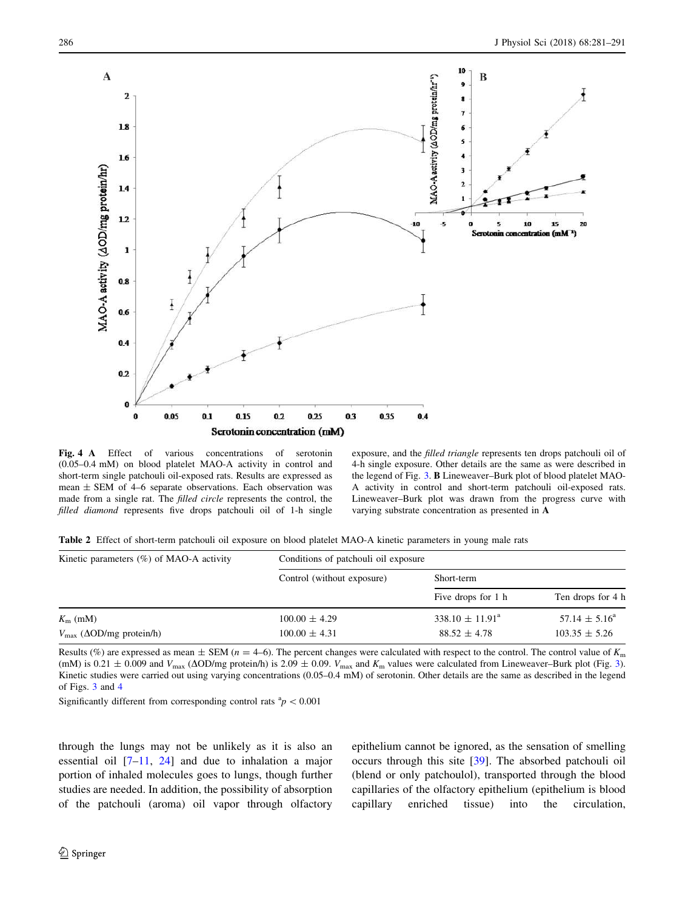<span id="page-5-0"></span>

Fig. 4 A Effect of various concentrations of serotonin (0.05–0.4 mM) on blood platelet MAO-A activity in control and short-term single patchouli oil-exposed rats. Results are expressed as mean  $\pm$  SEM of 4–6 separate observations. Each observation was made from a single rat. The filled circle represents the control, the filled diamond represents five drops patchouli oil of 1-h single

exposure, and the filled triangle represents ten drops patchouli oil of 4-h single exposure. Other details are the same as were described in the legend of Fig. [3](#page-4-0). B Lineweaver–Burk plot of blood platelet MAO-A activity in control and short-term patchouli oil-exposed rats. Lineweaver–Burk plot was drawn from the progress curve with varying substrate concentration as presented in A

Table 2 Effect of short-term patchouli oil exposure on blood platelet MAO-A kinetic parameters in young male rats

| Kinetic parameters $(\%)$ of MAO-A activity  | Conditions of patchouli oil exposure |                               |                          |  |
|----------------------------------------------|--------------------------------------|-------------------------------|--------------------------|--|
|                                              | Control (without exposure)           | Short-term                    |                          |  |
|                                              |                                      | Five drops for 1 h            | Ten drops for 4 h        |  |
| $K_{\rm m}$ (mM)                             | $100.00 \pm 4.29$                    | $338.10 \pm 11.91^{\text{a}}$ | $57.14 \pm 5.16^{\circ}$ |  |
| $V_{\text{max}}$ ( $\Delta$ OD/mg protein/h) | $100.00 \pm 4.31$                    | $88.52 \pm 4.78$              | $103.35 \pm 5.26$        |  |

Results (%) are expressed as mean  $\pm$  SEM ( $n = 4-6$ ). The percent changes were calculated with respect to the control. The control value of  $K<sub>m</sub>$ (mM) is 0.21  $\pm$  0.009 and  $V_{\text{max}}$  ( $\Delta$ OD/mg protein/h) is 2.09  $\pm$  0.09.  $V_{\text{max}}$  and  $K_{\text{m}}$  values were calculated from Lineweaver–Burk plot (Fig. [3](#page-4-0)). Kinetic studies were carried out using varying concentrations (0.05–0.4 mM) of serotonin. Other details are the same as described in the legend of Figs. [3](#page-4-0) and 4

Significantly different from corresponding control rats  ${}^{a}p$  < 0.001

through the lungs may not be unlikely as it is also an essential oil  $[7-11, 24]$  $[7-11, 24]$  $[7-11, 24]$  and due to inhalation a major portion of inhaled molecules goes to lungs, though further studies are needed. In addition, the possibility of absorption of the patchouli (aroma) oil vapor through olfactory

epithelium cannot be ignored, as the sensation of smelling occurs through this site [[39\]](#page-10-0). The absorbed patchouli oil (blend or only patchoulol), transported through the blood capillaries of the olfactory epithelium (epithelium is blood capillary enriched tissue) into the circulation,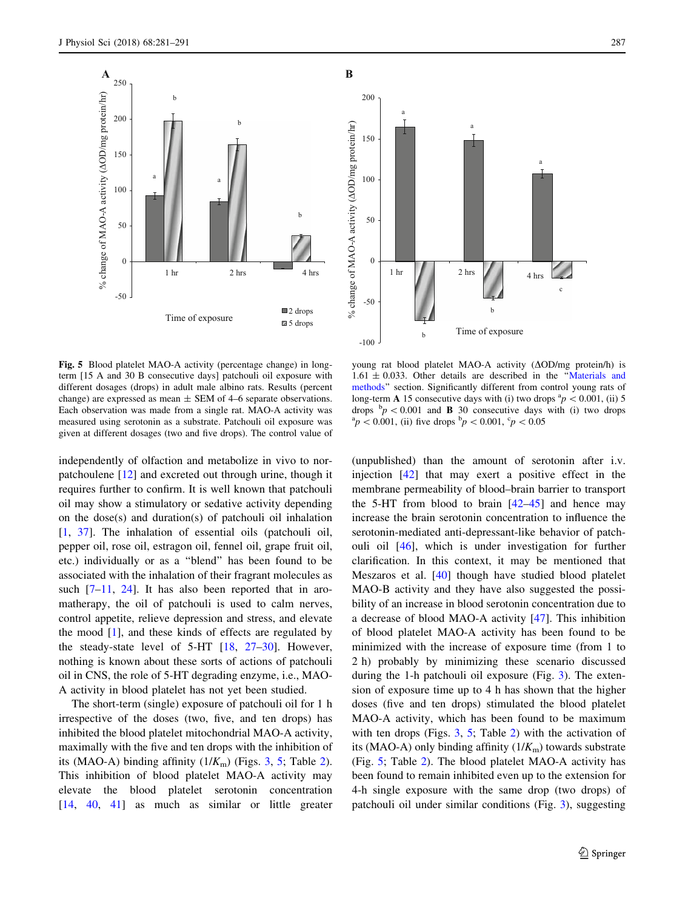<span id="page-6-0"></span>

Fig. 5 Blood platelet MAO-A activity (percentage change) in longterm [15 A and 30 B consecutive days] patchouli oil exposure with different dosages (drops) in adult male albino rats. Results (percent change) are expressed as mean  $\pm$  SEM of 4–6 separate observations. Each observation was made from a single rat. MAO-A activity was measured using serotonin as a substrate. Patchouli oil exposure was given at different dosages (two and five drops). The control value of

independently of olfaction and metabolize in vivo to norpatchoulene [[12\]](#page-9-0) and excreted out through urine, though it requires further to confirm. It is well known that patchouli oil may show a stimulatory or sedative activity depending on the dose(s) and duration(s) of patchouli oil inhalation [\[1](#page-9-0), [37](#page-10-0)]. The inhalation of essential oils (patchouli oil, pepper oil, rose oil, estragon oil, fennel oil, grape fruit oil, etc.) individually or as a ''blend'' has been found to be associated with the inhalation of their fragrant molecules as such [[7–11,](#page-9-0) [24](#page-9-0)]. It has also been reported that in aromatherapy, the oil of patchouli is used to calm nerves, control appetite, relieve depression and stress, and elevate the mood [[1\]](#page-9-0), and these kinds of effects are regulated by the steady-state level of 5-HT [\[18](#page-9-0), [27–30\]](#page-10-0). However, nothing is known about these sorts of actions of patchouli oil in CNS, the role of 5-HT degrading enzyme, i.e., MAO-A activity in blood platelet has not yet been studied.

The short-term (single) exposure of patchouli oil for 1 h irrespective of the doses (two, five, and ten drops) has inhibited the blood platelet mitochondrial MAO-A activity, maximally with the five and ten drops with the inhibition of its (MAO-A) binding affinity  $(1/K<sub>m</sub>)$  (Figs. [3](#page-4-0), 5; Table [2](#page-5-0)). This inhibition of blood platelet MAO-A activity may elevate the blood platelet serotonin concentration [\[14](#page-9-0), [40](#page-10-0), [41\]](#page-10-0) as much as similar or little greater



young rat blood platelet MAO-A activity  $(\Delta OD/mg)$  protein/h) is  $1.61 \pm 0.033$ . Other details are described in the "[Materials and](#page-1-0) [methods'](#page-1-0)' section. Significantly different from control young rats of long-term **A** 15 consecutive days with (i) two drops  ${}^{a}p$  < 0.001, (ii) 5 drops  $\frac{b}{p}$  < 0.001 and **B** 30 consecutive days with (i) two drops  $a_p^a < 0.001$ , (ii) five drops  $b_p < 0.001$ ,  $c_p < 0.05$ 

(unpublished) than the amount of serotonin after i.v. injection [[42\]](#page-10-0) that may exert a positive effect in the membrane permeability of blood–brain barrier to transport the 5-HT from blood to brain  $[42-45]$  and hence may increase the brain serotonin concentration to influence the serotonin-mediated anti-depressant-like behavior of patchouli oil [[46\]](#page-10-0), which is under investigation for further clarification. In this context, it may be mentioned that Meszaros et al. [\[40](#page-10-0)] though have studied blood platelet MAO-B activity and they have also suggested the possibility of an increase in blood serotonin concentration due to a decrease of blood MAO-A activity [[47\]](#page-10-0). This inhibition of blood platelet MAO-A activity has been found to be minimized with the increase of exposure time (from 1 to 2 h) probably by minimizing these scenario discussed during the 1-h patchouli oil exposure (Fig. [3\)](#page-4-0). The extension of exposure time up to 4 h has shown that the higher doses (five and ten drops) stimulated the blood platelet MAO-A activity, which has been found to be maximum with ten drops (Figs.  $3, 5$  $3, 5$ ; Table [2\)](#page-5-0) with the activation of its (MAO-A) only binding affinity  $(1/K<sub>m</sub>)$  towards substrate (Fig. 5; Table [2](#page-5-0)). The blood platelet MAO-A activity has been found to remain inhibited even up to the extension for 4-h single exposure with the same drop (two drops) of patchouli oil under similar conditions (Fig. [3](#page-4-0)), suggesting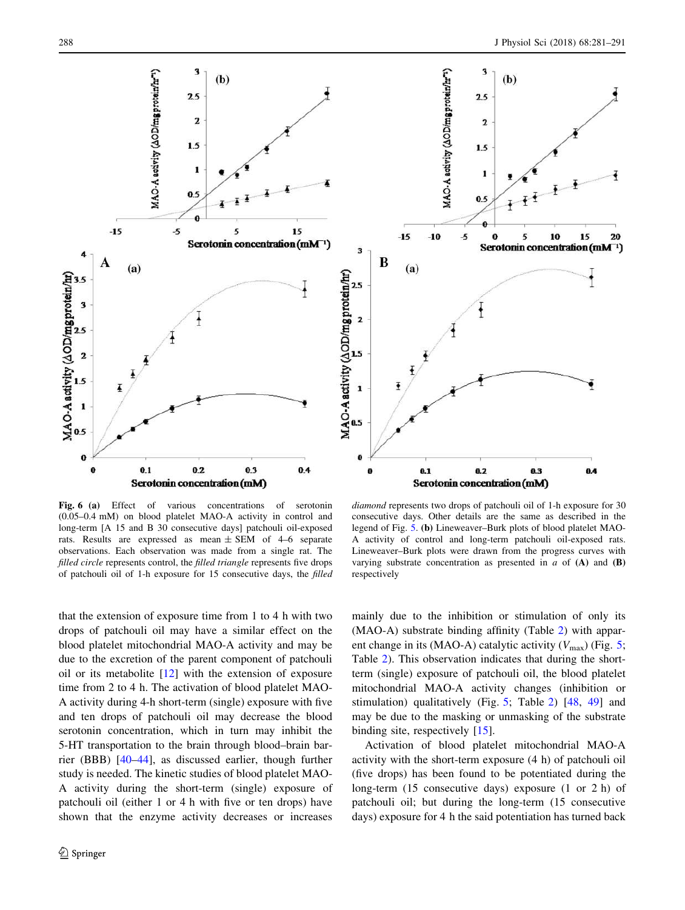<span id="page-7-0"></span>

Fig. 6 (a) Effect of various concentrations of serotonin (0.05–0.4 mM) on blood platelet MAO-A activity in control and long-term [A 15 and B 30 consecutive days] patchouli oil-exposed rats. Results are expressed as mean  $\pm$  SEM of 4–6 separate observations. Each observation was made from a single rat. The filled circle represents control, the filled triangle represents five drops of patchouli oil of 1-h exposure for 15 consecutive days, the filled

diamond represents two drops of patchouli oil of 1-h exposure for 30 consecutive days. Other details are the same as described in the legend of Fig. [5.](#page-6-0) (b) Lineweaver–Burk plots of blood platelet MAO-A activity of control and long-term patchouli oil-exposed rats. Lineweaver–Burk plots were drawn from the progress curves with varying substrate concentration as presented in  $a$  of  $(A)$  and  $(B)$ respectively

that the extension of exposure time from 1 to 4 h with two drops of patchouli oil may have a similar effect on the blood platelet mitochondrial MAO-A activity and may be due to the excretion of the parent component of patchouli oil or its metabolite [[12\]](#page-9-0) with the extension of exposure time from 2 to 4 h. The activation of blood platelet MAO-A activity during 4-h short-term (single) exposure with five and ten drops of patchouli oil may decrease the blood serotonin concentration, which in turn may inhibit the 5-HT transportation to the brain through blood–brain barrier (BBB) [[40–44](#page-10-0)], as discussed earlier, though further study is needed. The kinetic studies of blood platelet MAO-A activity during the short-term (single) exposure of patchouli oil (either 1 or 4 h with five or ten drops) have shown that the enzyme activity decreases or increases mainly due to the inhibition or stimulation of only its (MAO-A) substrate binding affinity (Table [2](#page-5-0)) with apparent change in its (MAO-A) catalytic activity  $(V_{\text{max}})$  (Fig. [5](#page-6-0); Table [2](#page-5-0)). This observation indicates that during the shortterm (single) exposure of patchouli oil, the blood platelet mitochondrial MAO-A activity changes (inhibition or stimulation) qualitatively (Fig. [5;](#page-6-0) Table [2\)](#page-5-0) [[48,](#page-10-0) [49](#page-10-0)] and may be due to the masking or unmasking of the substrate binding site, respectively [[15\]](#page-9-0).

Activation of blood platelet mitochondrial MAO-A activity with the short-term exposure (4 h) of patchouli oil (five drops) has been found to be potentiated during the long-term (15 consecutive days) exposure (1 or 2 h) of patchouli oil; but during the long-term (15 consecutive days) exposure for 4 h the said potentiation has turned back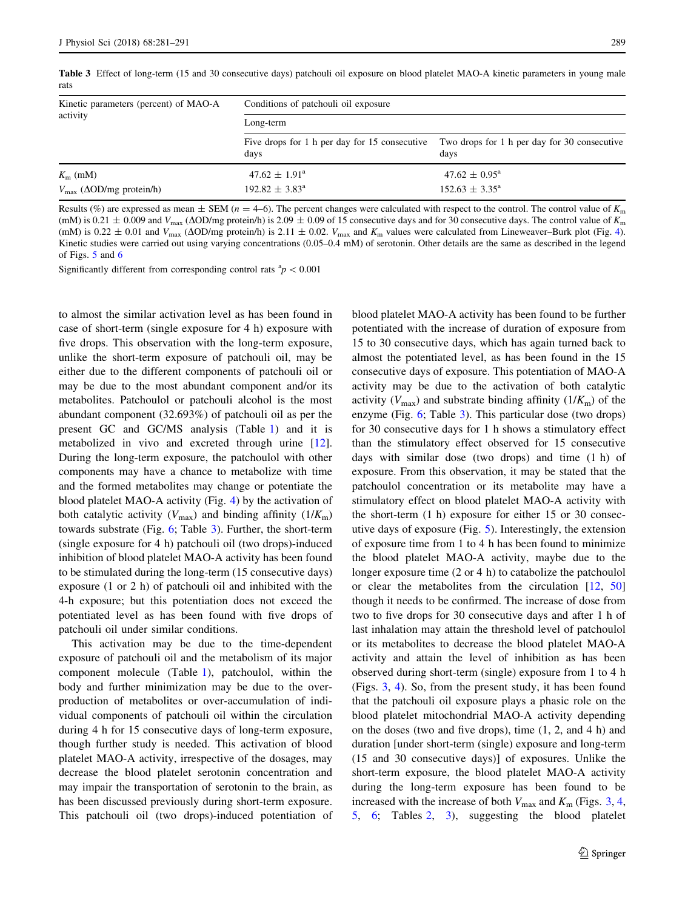<span id="page-8-0"></span>Table 3 Effect of long-term (15 and 30 consecutive days) patchouli oil exposure on blood platelet MAO-A kinetic parameters in young male rats

| Kinetic parameters (percent) of MAO-A        | Conditions of patchouli oil exposure<br>Long-term     |                                                      |  |
|----------------------------------------------|-------------------------------------------------------|------------------------------------------------------|--|
| activity                                     |                                                       |                                                      |  |
|                                              | Five drops for 1 h per day for 15 consecutive<br>days | Two drops for 1 h per day for 30 consecutive<br>davs |  |
| $K_{\rm m}$ (mM)                             | $47.62 \pm 1.91^{\circ}$                              | $47.62 \pm 0.95^{\text{a}}$                          |  |
| $V_{\text{max}}$ ( $\Delta$ OD/mg protein/h) | $192.82 \pm 3.83^{\circ}$                             | $152.63 \pm 3.35^{\text{a}}$                         |  |

Results (%) are expressed as mean  $\pm$  SEM ( $n = 4-6$ ). The percent changes were calculated with respect to the control. The control value of  $K<sub>m</sub>$ (mM) is 0.21  $\pm$  0.009 and  $V_{\text{max}}$  ( $\Delta$ OD/mg protein/h) is 2.09  $\pm$  0.09 of 15 consecutive days and for 30 consecutive days. The control value of  $K_{\text{m}}$ (mM) is 0.22  $\pm$  0.01 and  $V_{\text{max}}$  ( $\Delta$ OD/mg protein/h) is 2.11  $\pm$  0.02.  $V_{\text{max}}$  and  $K_{\text{m}}$  values were calculated from Lineweaver–Burk plot (Fig. [4](#page-5-0)). Kinetic studies were carried out using varying concentrations (0.05–0.4 mM) of serotonin. Other details are the same as described in the legend of Figs. [5](#page-6-0) and [6](#page-7-0)

Significantly different from corresponding control rats  ${}^{a}p$  < 0.001

to almost the similar activation level as has been found in case of short-term (single exposure for 4 h) exposure with five drops. This observation with the long-term exposure, unlike the short-term exposure of patchouli oil, may be either due to the different components of patchouli oil or may be due to the most abundant component and/or its metabolites. Patchoulol or patchouli alcohol is the most abundant component (32.693%) of patchouli oil as per the present GC and GC/MS analysis (Table [1](#page-2-0)) and it is metabolized in vivo and excreted through urine [\[12](#page-9-0)]. During the long-term exposure, the patchoulol with other components may have a chance to metabolize with time and the formed metabolites may change or potentiate the blood platelet MAO-A activity (Fig. [4](#page-5-0)) by the activation of both catalytic activity  $(V_{\text{max}})$  and binding affinity  $(1/K_{\text{m}})$ towards substrate (Fig. [6;](#page-7-0) Table 3). Further, the short-term (single exposure for 4 h) patchouli oil (two drops)-induced inhibition of blood platelet MAO-A activity has been found to be stimulated during the long-term (15 consecutive days) exposure (1 or 2 h) of patchouli oil and inhibited with the 4-h exposure; but this potentiation does not exceed the potentiated level as has been found with five drops of patchouli oil under similar conditions.

This activation may be due to the time-dependent exposure of patchouli oil and the metabolism of its major component molecule (Table [1](#page-2-0)), patchoulol, within the body and further minimization may be due to the overproduction of metabolites or over-accumulation of individual components of patchouli oil within the circulation during 4 h for 15 consecutive days of long-term exposure, though further study is needed. This activation of blood platelet MAO-A activity, irrespective of the dosages, may decrease the blood platelet serotonin concentration and may impair the transportation of serotonin to the brain, as has been discussed previously during short-term exposure. This patchouli oil (two drops)-induced potentiation of blood platelet MAO-A activity has been found to be further potentiated with the increase of duration of exposure from 15 to 30 consecutive days, which has again turned back to almost the potentiated level, as has been found in the 15 consecutive days of exposure. This potentiation of MAO-A activity may be due to the activation of both catalytic activity ( $V_{\text{max}}$ ) and substrate binding affinity ( $1/K_{\text{m}}$ ) of the enzyme (Fig. [6;](#page-7-0) Table 3). This particular dose (two drops) for 30 consecutive days for 1 h shows a stimulatory effect than the stimulatory effect observed for 15 consecutive days with similar dose (two drops) and time (1 h) of exposure. From this observation, it may be stated that the patchoulol concentration or its metabolite may have a stimulatory effect on blood platelet MAO-A activity with the short-term (1 h) exposure for either 15 or 30 consecutive days of exposure (Fig. [5\)](#page-6-0). Interestingly, the extension of exposure time from 1 to 4 h has been found to minimize the blood platelet MAO-A activity, maybe due to the longer exposure time (2 or 4 h) to catabolize the patchoulol or clear the metabolites from the circulation [\[12](#page-9-0), [50\]](#page-10-0) though it needs to be confirmed. The increase of dose from two to five drops for 30 consecutive days and after 1 h of last inhalation may attain the threshold level of patchoulol or its metabolites to decrease the blood platelet MAO-A activity and attain the level of inhibition as has been observed during short-term (single) exposure from 1 to 4 h (Figs. [3](#page-4-0), [4](#page-5-0)). So, from the present study, it has been found that the patchouli oil exposure plays a phasic role on the blood platelet mitochondrial MAO-A activity depending on the doses (two and five drops), time (1, 2, and 4 h) and duration [under short-term (single) exposure and long-term (15 and 30 consecutive days)] of exposures. Unlike the short-term exposure, the blood platelet MAO-A activity during the long-term exposure has been found to be increased with the increase of both  $V_{\text{max}}$  and  $K_{\text{m}}$  (Figs. [3,](#page-4-0) [4,](#page-5-0) [5](#page-6-0), [6](#page-7-0); Tables [2,](#page-5-0) 3), suggesting the blood platelet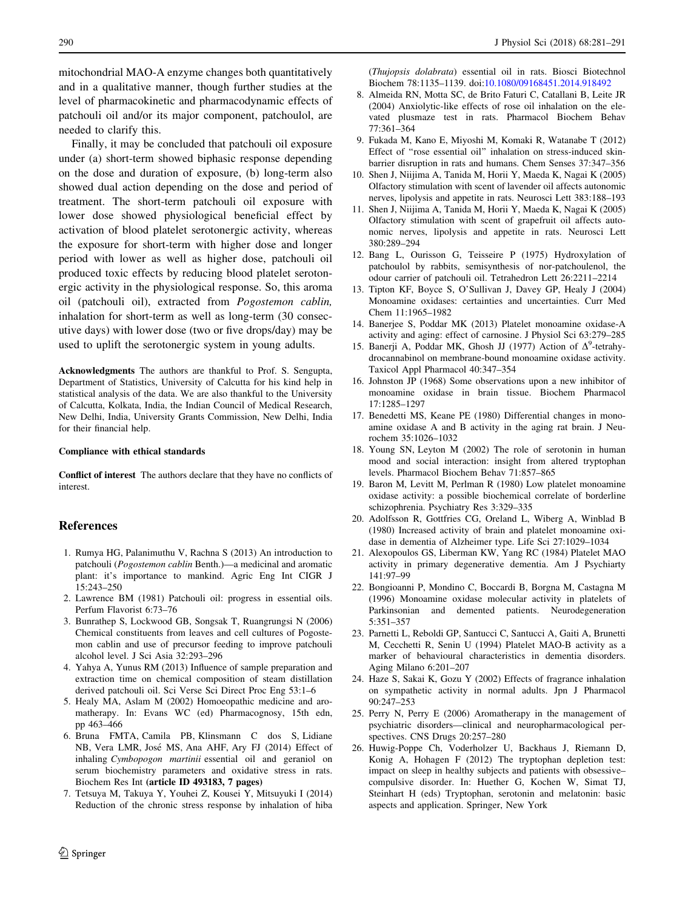<span id="page-9-0"></span>mitochondrial MAO-A enzyme changes both quantitatively and in a qualitative manner, though further studies at the level of pharmacokinetic and pharmacodynamic effects of patchouli oil and/or its major component, patchoulol, are needed to clarify this.

Finally, it may be concluded that patchouli oil exposure under (a) short-term showed biphasic response depending on the dose and duration of exposure, (b) long-term also showed dual action depending on the dose and period of treatment. The short-term patchouli oil exposure with lower dose showed physiological beneficial effect by activation of blood platelet serotonergic activity, whereas the exposure for short-term with higher dose and longer period with lower as well as higher dose, patchouli oil produced toxic effects by reducing blood platelet serotonergic activity in the physiological response. So, this aroma oil (patchouli oil), extracted from Pogostemon cablin, inhalation for short-term as well as long-term (30 consecutive days) with lower dose (two or five drops/day) may be used to uplift the serotonergic system in young adults.

Acknowledgments The authors are thankful to Prof. S. Sengupta, Department of Statistics, University of Calcutta for his kind help in statistical analysis of the data. We are also thankful to the University of Calcutta, Kolkata, India, the Indian Council of Medical Research, New Delhi, India, University Grants Commission, New Delhi, India for their financial help.

#### Compliance with ethical standards

Conflict of interest The authors declare that they have no conflicts of interest.

#### References

- 1. Rumya HG, Palanimuthu V, Rachna S (2013) An introduction to patchouli (Pogostemon cablin Benth.)—a medicinal and aromatic plant: it's importance to mankind. Agric Eng Int CIGR J 15:243–250
- 2. Lawrence BM (1981) Patchouli oil: progress in essential oils. Perfum Flavorist 6:73–76
- 3. Bunrathep S, Lockwood GB, Songsak T, Ruangrungsi N (2006) Chemical constituents from leaves and cell cultures of Pogostemon cablin and use of precursor feeding to improve patchouli alcohol level. J Sci Asia 32:293–296
- 4. Yahya A, Yunus RM (2013) Influence of sample preparation and extraction time on chemical composition of steam distillation derived patchouli oil. Sci Verse Sci Direct Proc Eng 53:1–6
- 5. Healy MA, Aslam M (2002) Homoeopathic medicine and aromatherapy. In: Evans WC (ed) Pharmacognosy, 15th edn, pp 463–466
- 6. Bruna FMTA, Camila PB, Klinsmann C dos S, Lidiane NB, Vera LMR, Jose´ MS, Ana AHF, Ary FJ (2014) Effect of inhaling Cymbopogon martinii essential oil and geraniol on serum biochemistry parameters and oxidative stress in rats. Biochem Res Int (article ID 493183, 7 pages)
- 7. Tetsuya M, Takuya Y, Youhei Z, Kousei Y, Mitsuyuki I (2014) Reduction of the chronic stress response by inhalation of hiba

(Thujopsis dolabrata) essential oil in rats. Biosci Biotechnol Biochem 78:1135–1139. doi[:10.1080/09168451.2014.918492](http://dx.doi.org/10.1080/09168451.2014.918492)

- 8. Almeida RN, Motta SC, de Brito Faturi C, Catallani B, Leite JR (2004) Anxiolytic-like effects of rose oil inhalation on the elevated plusmaze test in rats. Pharmacol Biochem Behav 77:361–364
- 9. Fukada M, Kano E, Miyoshi M, Komaki R, Watanabe T (2012) Effect of "rose essential oil" inhalation on stress-induced skinbarrier disruption in rats and humans. Chem Senses 37:347–356
- 10. Shen J, Niijima A, Tanida M, Horii Y, Maeda K, Nagai K (2005) Olfactory stimulation with scent of lavender oil affects autonomic nerves, lipolysis and appetite in rats. Neurosci Lett 383:188–193
- 11. Shen J, Niijima A, Tanida M, Horii Y, Maeda K, Nagai K (2005) Olfactory stimulation with scent of grapefruit oil affects autonomic nerves, lipolysis and appetite in rats. Neurosci Lett 380:289–294
- 12. Bang L, Ourisson G, Teisseire P (1975) Hydroxylation of patchoulol by rabbits, semisynthesis of nor-patchoulenol, the odour carrier of patchouli oil. Tetrahedron Lett 26:2211–2214
- 13. Tipton KF, Boyce S, O'Sullivan J, Davey GP, Healy J (2004) Monoamine oxidases: certainties and uncertainties. Curr Med Chem 11:1965–1982
- 14. Banerjee S, Poddar MK (2013) Platelet monoamine oxidase-A activity and aging: effect of carnosine. J Physiol Sci 63:279–285
- 15. Banerji A, Poddar MK, Ghosh JJ (1977) Action of  $\Delta^9$ -tetrahydrocannabinol on membrane-bound monoamine oxidase activity. Taxicol Appl Pharmacol 40:347–354
- 16. Johnston JP (1968) Some observations upon a new inhibitor of monoamine oxidase in brain tissue. Biochem Pharmacol 17:1285–1297
- 17. Benedetti MS, Keane PE (1980) Differential changes in monoamine oxidase A and B activity in the aging rat brain. J Neurochem 35:1026–1032
- 18. Young SN, Leyton M (2002) The role of serotonin in human mood and social interaction: insight from altered tryptophan levels. Pharmacol Biochem Behav 71:857–865
- 19. Baron M, Levitt M, Perlman R (1980) Low platelet monoamine oxidase activity: a possible biochemical correlate of borderline schizophrenia. Psychiatry Res 3:329–335
- 20. Adolfsson R, Gottfries CG, Oreland L, Wiberg A, Winblad B (1980) Increased activity of brain and platelet monoamine oxidase in dementia of Alzheimer type. Life Sci 27:1029–1034
- 21. Alexopoulos GS, Liberman KW, Yang RC (1984) Platelet MAO activity in primary degenerative dementia. Am J Psychiarty 141:97–99
- 22. Bongioanni P, Mondino C, Boccardi B, Borgna M, Castagna M (1996) Monoamine oxidase molecular activity in platelets of Parkinsonian and demented patients. Neurodegeneration 5:351–357
- 23. Parnetti L, Reboldi GP, Santucci C, Santucci A, Gaiti A, Brunetti M, Cecchetti R, Senin U (1994) Platelet MAO-B activity as a marker of behavioural characteristics in dementia disorders. Aging Milano 6:201–207
- 24. Haze S, Sakai K, Gozu Y (2002) Effects of fragrance inhalation on sympathetic activity in normal adults. Jpn J Pharmacol 90:247–253
- 25. Perry N, Perry E (2006) Aromatherapy in the management of psychiatric disorders—clinical and neuropharmacological perspectives. CNS Drugs 20:257–280
- 26. Huwig-Poppe Ch, Voderholzer U, Backhaus J, Riemann D, Konig A, Hohagen F (2012) The tryptophan depletion test: impact on sleep in healthy subjects and patients with obsessive– compulsive disorder. In: Huether G, Kochen W, Simat TJ, Steinhart H (eds) Tryptophan, serotonin and melatonin: basic aspects and application. Springer, New York